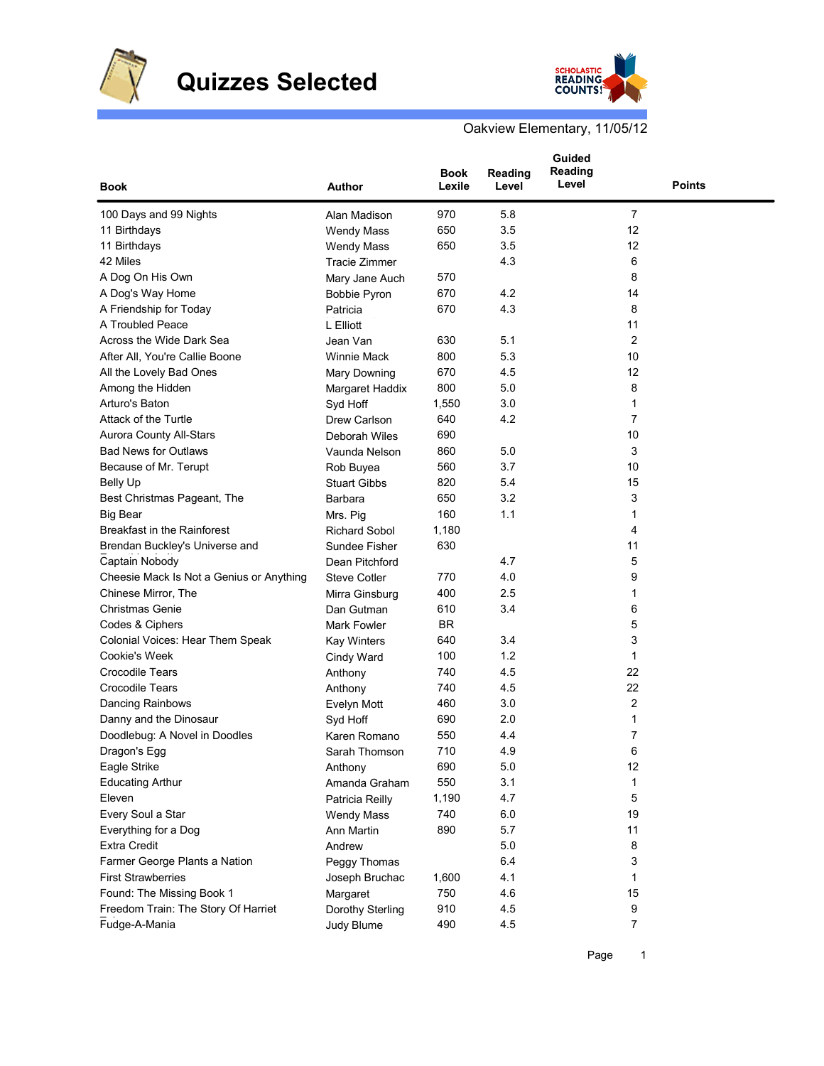



Oakview Elementary, 11/05/12

| <b>Book</b>                              | Author               | Book<br>Lexile | Reading<br>Level | Guided<br>Reading<br>Level | <b>Points</b> |
|------------------------------------------|----------------------|----------------|------------------|----------------------------|---------------|
| 100 Days and 99 Nights                   | Alan Madison         | 970            | 5.8              | 7                          |               |
| 11 Birthdays                             | <b>Wendy Mass</b>    | 650            | 3.5              | 12                         |               |
| 11 Birthdays                             | <b>Wendy Mass</b>    | 650            | 3.5              | 12                         |               |
| 42 Miles                                 | <b>Tracie Zimmer</b> |                | 4.3              | 6                          |               |
| A Dog On His Own                         | Mary Jane Auch       | 570            |                  | 8                          |               |
| A Dog's Way Home                         | <b>Bobbie Pyron</b>  | 670            | 4.2              | 14                         |               |
| A Friendship for Today                   | Patricia             | 670            | 4.3              | 8                          |               |
| A Troubled Peace                         | L Elliott            |                |                  | 11                         |               |
| Across the Wide Dark Sea                 | Jean Van             | 630            | 5.1              | 2                          |               |
| After All, You're Callie Boone           | <b>Winnie Mack</b>   | 800            | 5.3              | 10                         |               |
| All the Lovely Bad Ones                  | Mary Downing         | 670            | 4.5              | 12                         |               |
| Among the Hidden                         | Margaret Haddix      | 800            | 5.0              | 8                          |               |
| Arturo's Baton                           | Syd Hoff             | 1,550          | 3.0              | 1                          |               |
| Attack of the Turtle                     | Drew Carlson         | 640            | 4.2              | $\overline{7}$             |               |
| <b>Aurora County All-Stars</b>           | Deborah Wiles        | 690            |                  | 10                         |               |
| <b>Bad News for Outlaws</b>              | Vaunda Nelson        | 860            | 5.0              | 3                          |               |
| Because of Mr. Terupt                    | Rob Buyea            | 560            | 3.7              | 10                         |               |
| <b>Belly Up</b>                          | <b>Stuart Gibbs</b>  | 820            | 5.4              | 15                         |               |
| Best Christmas Pageant, The              | Barbara              | 650            | 3.2              | 3                          |               |
| <b>Big Bear</b>                          | Mrs. Pig             | 160            | 1.1              | 1                          |               |
| Breakfast in the Rainforest              | <b>Richard Sobol</b> | 1,180          |                  | 4                          |               |
| Brendan Buckley's Universe and           | Sundee Fisher        | 630            |                  | 11                         |               |
| Captain Nobody                           | Dean Pitchford       |                | 4.7              | 5                          |               |
| Cheesie Mack Is Not a Genius or Anything | <b>Steve Cotler</b>  | 770            | 4.0              | 9                          |               |
| Chinese Mirror, The                      | Mirra Ginsburg       | 400            | 2.5              | 1                          |               |
| <b>Christmas Genie</b>                   | Dan Gutman           | 610            | 3.4              | 6                          |               |
| Codes & Ciphers                          | Mark Fowler          | BR             |                  | 5                          |               |
| Colonial Voices: Hear Them Speak         | <b>Kay Winters</b>   | 640            | 3.4              | 3                          |               |
| Cookie's Week                            | Cindy Ward           | 100            | 1.2              | 1                          |               |
| <b>Crocodile Tears</b>                   | Anthony              | 740            | 4.5              | 22                         |               |
| <b>Crocodile Tears</b>                   | Anthony              | 740            | 4.5              | 22                         |               |
| Dancing Rainbows                         | Evelyn Mott          | 460            | 3.0              | 2                          |               |
| Danny and the Dinosaur                   | Syd Hoff             | 690            | 2.0              | 1                          |               |
| Doodlebug: A Novel in Doodles            | Karen Romano         | 550            | 4.4              | 7                          |               |
| Dragon's Egg                             | Sarah Thomson        | 710            | 4.9              | 6                          |               |
| Eagle Strike                             | Anthony              | 690            | $5.0\,$          | 12                         |               |
| <b>Educating Arthur</b>                  | Amanda Graham        | 550            | 3.1              | 1                          |               |
| Eleven                                   | Patricia Reilly      | 1,190          | 4.7              | 5                          |               |
| Every Soul a Star                        | <b>Wendy Mass</b>    | 740            | 6.0              | 19                         |               |
| Everything for a Dog                     | Ann Martin           | 890            | 5.7              | 11                         |               |
| <b>Extra Credit</b>                      | Andrew               |                | 5.0              | 8                          |               |
| Farmer George Plants a Nation            | Peggy Thomas         |                | 6.4              | 3                          |               |
| <b>First Strawberries</b>                | Joseph Bruchac       | 1,600          | 4.1              | 1                          |               |
| Found: The Missing Book 1                | Margaret             | 750            | 4.6              | 15                         |               |
| Freedom Train: The Story Of Harriet      | Dorothy Sterling     | 910            | 4.5              | 9                          |               |
| Fudge-A-Mania                            | Judy Blume           | 490            | 4.5              | 7                          |               |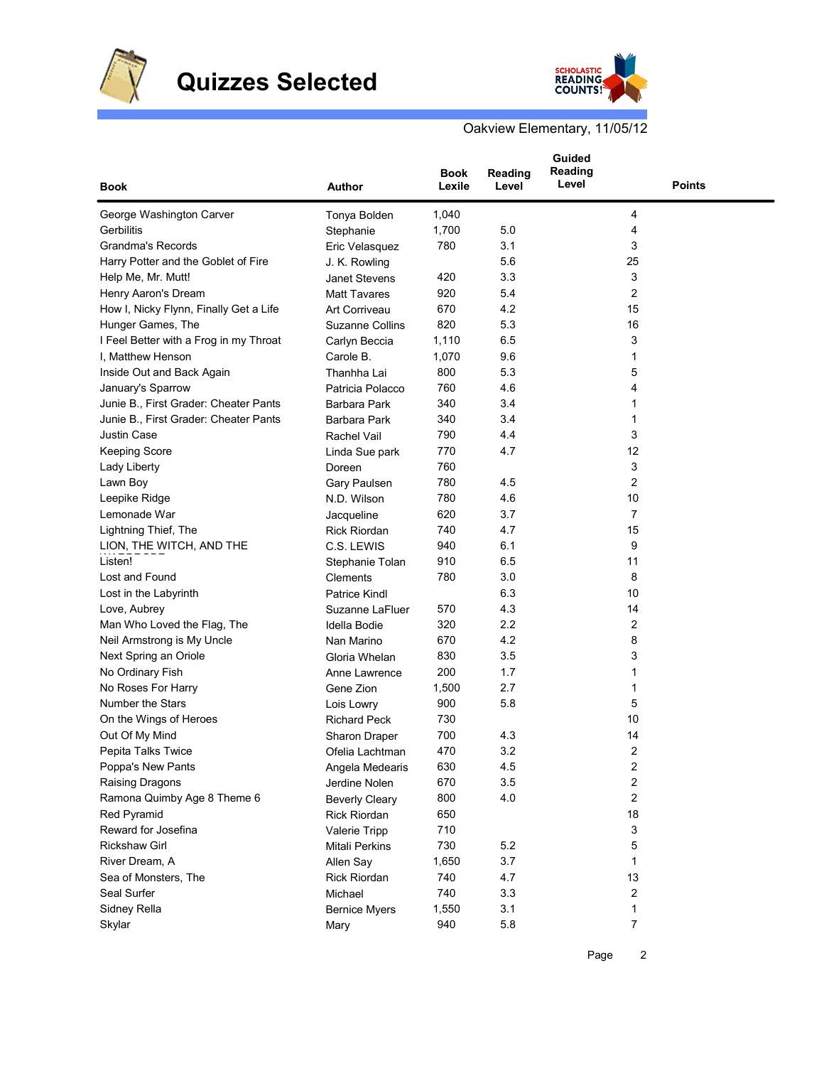

## **Quizzes Selected**



Oakview Elementary, 11/05/12

| <b>Book</b>                            | Author                    | <b>Book</b><br>Lexile | Reading<br>Level | Guided<br>Reading<br>Level | <b>Points</b>           |  |
|----------------------------------------|---------------------------|-----------------------|------------------|----------------------------|-------------------------|--|
| George Washington Carver               | Tonya Bolden              | 1,040                 |                  |                            | 4                       |  |
| Gerbilitis                             | Stephanie                 | 1,700                 | 5.0              |                            | 4                       |  |
| Grandma's Records                      | Eric Velasquez            | 780                   | 3.1              |                            | 3                       |  |
| Harry Potter and the Goblet of Fire    | J. K. Rowling             |                       | 5.6              |                            | 25                      |  |
| Help Me, Mr. Mutt!                     | <b>Janet Stevens</b>      | 420                   | 3.3              |                            | 3                       |  |
| Henry Aaron's Dream                    | <b>Matt Tavares</b>       | 920                   | 5.4              |                            | 2                       |  |
| How I, Nicky Flynn, Finally Get a Life | Art Corriveau             | 670                   | 4.2              |                            | 15                      |  |
| Hunger Games, The                      | <b>Suzanne Collins</b>    | 820                   | 5.3              |                            | 16                      |  |
| I Feel Better with a Frog in my Throat | Carlyn Beccia             | 1,110                 | 6.5              |                            | 3                       |  |
| I, Matthew Henson                      | Carole B.                 | 1,070                 | 9.6              |                            | 1                       |  |
| Inside Out and Back Again              | Thanhha Lai               | 800                   | 5.3              |                            | 5                       |  |
| January's Sparrow                      | Patricia Polacco          | 760                   | 4.6              |                            | 4                       |  |
| Junie B., First Grader: Cheater Pants  | Barbara Park              | 340                   | 3.4              |                            | 1                       |  |
| Junie B., First Grader: Cheater Pants  | Barbara Park              | 340                   | 3.4              |                            | 1                       |  |
| Justin Case                            | Rachel Vail               | 790                   | 4.4              |                            | 3                       |  |
| <b>Keeping Score</b>                   | Linda Sue park            | 770                   | 4.7              |                            | 12                      |  |
| Lady Liberty                           | Doreen                    | 760                   |                  |                            | 3                       |  |
| Lawn Boy                               | Gary Paulsen              | 780                   | 4.5              |                            | 2                       |  |
| Leepike Ridge                          | N.D. Wilson               | 780                   | 4.6              |                            | 10                      |  |
| Lemonade War                           | Jacqueline                | 620                   | 3.7              |                            | 7                       |  |
| Lightning Thief, The                   | <b>Rick Riordan</b>       | 740                   | 4.7              |                            | 15                      |  |
| LION, THE WITCH, AND THE               | C.S. LEWIS                | 940                   | 6.1              |                            | 9                       |  |
| Listen!                                | Stephanie Tolan           | 910                   | 6.5              |                            | 11                      |  |
| Lost and Found                         | Clements                  | 780                   | 3.0              |                            | 8                       |  |
| Lost in the Labyrinth                  | <b>Patrice Kindl</b>      |                       | 6.3              |                            | 10                      |  |
| Love, Aubrey                           | Suzanne LaFluer           | 570                   | 4.3              |                            | 14                      |  |
| Man Who Loved the Flag, The            | Idella Bodie              | 320                   | 2.2              |                            | 2                       |  |
| Neil Armstrong is My Uncle             | Nan Marino                | 670                   | 4.2              |                            | 8                       |  |
| Next Spring an Oriole                  | Gloria Whelan             | 830                   | 3.5              |                            | 3                       |  |
| No Ordinary Fish                       | Anne Lawrence             | 200                   | 1.7              |                            | 1                       |  |
| No Roses For Harry                     | Gene Zion                 | 1,500                 | 2.7              |                            | 1                       |  |
| <b>Number the Stars</b>                | Lois Lowry                | 900                   | 5.8              |                            | 5                       |  |
| On the Wings of Heroes                 | <b>Richard Peck</b>       | 730                   |                  |                            | 10                      |  |
| Out Of My Mind                         | Sharon Draper             | 700                   | 4.3              |                            | 14                      |  |
| Pepita Talks Twice                     | Ofelia Lachtman           | 470                   | 3.2              |                            | 2                       |  |
| Poppa's New Pants                      | Angela Medearis           | 630                   | 4.5              |                            | 2                       |  |
| Raising Dragons                        | Jerdine Nolen             | 670                   | 3.5              |                            | 2                       |  |
| Ramona Quimby Age 8 Theme 6            | <b>Beverly Cleary</b>     | 800                   | 4.0              |                            | $\overline{\mathbf{c}}$ |  |
| Red Pyramid                            | <b>Rick Riordan</b>       | 650                   |                  |                            | 18                      |  |
| Reward for Josefina                    | Valerie Tripp             | 710                   |                  |                            | 3                       |  |
| <b>Rickshaw Girl</b>                   | Mitali Perkins            | 730                   | 5.2              |                            | 5                       |  |
| River Dream, A                         |                           |                       | 3.7              |                            | 1                       |  |
| Sea of Monsters, The                   | Allen Say<br>Rick Riordan | 1,650<br>740          | 4.7              |                            | 13                      |  |
| Seal Surfer                            |                           | 740                   | 3.3              |                            | 2                       |  |
| Sidney Rella                           | Michael                   | 1,550                 | 3.1              |                            | 1                       |  |
|                                        | <b>Bernice Myers</b>      | 940                   | 5.8              |                            | $\overline{7}$          |  |
| Skylar                                 | Mary                      |                       |                  |                            |                         |  |